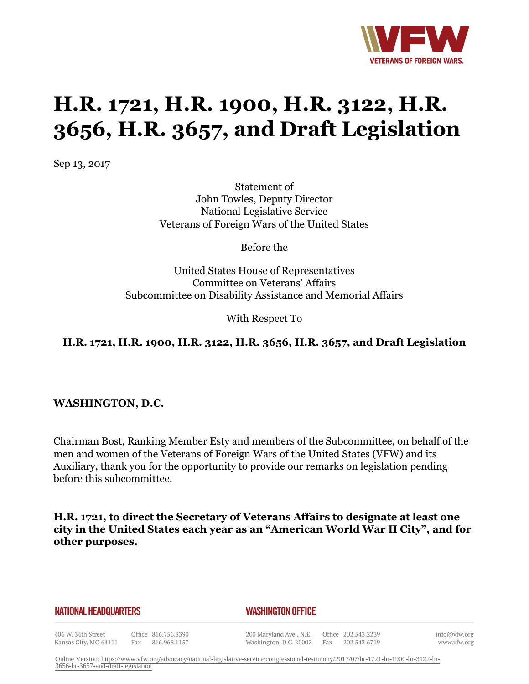

# **H.R. 1721, H.R. 1900, H.R. 3122, H.R. 3656, H.R. 3657, and Draft Legislation**

Sep 13, 2017

Statement of John Towles, Deputy Director National Legislative Service Veterans of Foreign Wars of the United States

Before the

United States House of Representatives Committee on Veterans' Affairs Subcommittee on Disability Assistance and Memorial Affairs

With Respect To

## **H.R. 1721, H.R. 1900, H.R. 3122, H.R. 3656, H.R. 3657, and Draft Legislation**

**WASHINGTON, D.C.**

Chairman Bost, Ranking Member Esty and members of the Subcommittee, on behalf of the men and women of the Veterans of Foreign Wars of the United States (VFW) and its Auxiliary, thank you for the opportunity to provide our remarks on legislation pending before this subcommittee.

**H.R. 1721, to direct the Secretary of Veterans Affairs to designate at least one city in the United States each year as an "American World War II City", and for other purposes.**

#### **NATIONAL HEADQUARTERS**

#### *WASHINGTON OFFICE*

406 W. 34th Street Kansas City, MO 64111 Fax 816.968.1157

Office 816.756.3390

200 Maryland Ave., N.E. Washington, D.C. 20002

Office 202.543.2239 Fax 202.543.6719 info@vfw.org www.vfw.org

Online Version: [https://www.vfw.org/advocacy/national-legislative-service/congressional-testimony/2017/07/hr-1721-hr-1900-hr-3122-hr-](https://www.vfw.org/advocacy/national-legislative-service/congressional-testimony/2017/07/hr-1721-hr-1900-hr-3122-hr-3656-hr-3657-and-draft-legislation)[3656-hr-3657-and-draft-legislation](https://www.vfw.org/advocacy/national-legislative-service/congressional-testimony/2017/07/hr-1721-hr-1900-hr-3122-hr-3656-hr-3657-and-draft-legislation)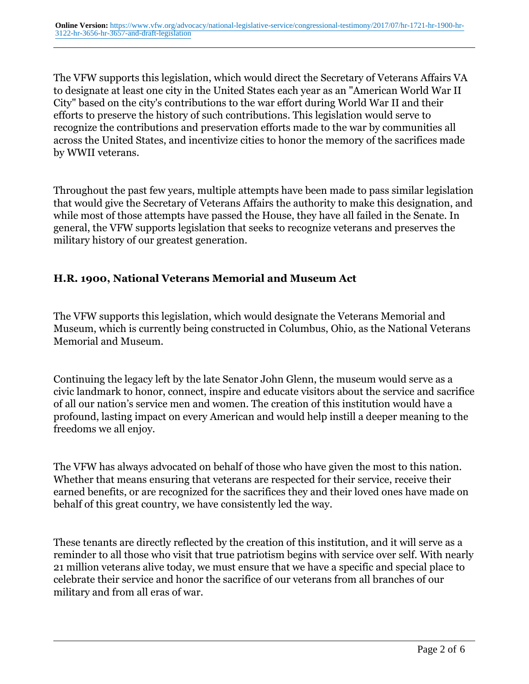The VFW supports this legislation, which would direct the Secretary of Veterans Affairs VA to designate at least one city in the United States each year as an "American World War II City" based on the city's contributions to the war effort during World War II and their efforts to preserve the history of such contributions. This legislation would serve to recognize the contributions and preservation efforts made to the war by communities all across the United States, and incentivize cities to honor the memory of the sacrifices made by WWII veterans.

Throughout the past few years, multiple attempts have been made to pass similar legislation that would give the Secretary of Veterans Affairs the authority to make this designation, and while most of those attempts have passed the House, they have all failed in the Senate. In general, the VFW supports legislation that seeks to recognize veterans and preserves the military history of our greatest generation.

#### **H.R. 1900, National Veterans Memorial and Museum Act**

The VFW supports this legislation, which would designate the Veterans Memorial and Museum, which is currently being constructed in Columbus, Ohio, as the National Veterans Memorial and Museum.

Continuing the legacy left by the late Senator John Glenn, the museum would serve as a civic landmark to honor, connect, inspire and educate visitors about the service and sacrifice of all our nation's service men and women. The creation of this institution would have a profound, lasting impact on every American and would help instill a deeper meaning to the freedoms we all enjoy.

The VFW has always advocated on behalf of those who have given the most to this nation. Whether that means ensuring that veterans are respected for their service, receive their earned benefits, or are recognized for the sacrifices they and their loved ones have made on behalf of this great country, we have consistently led the way.

These tenants are directly reflected by the creation of this institution, and it will serve as a reminder to all those who visit that true patriotism begins with service over self. With nearly 21 million veterans alive today, we must ensure that we have a specific and special place to celebrate their service and honor the sacrifice of our veterans from all branches of our military and from all eras of war.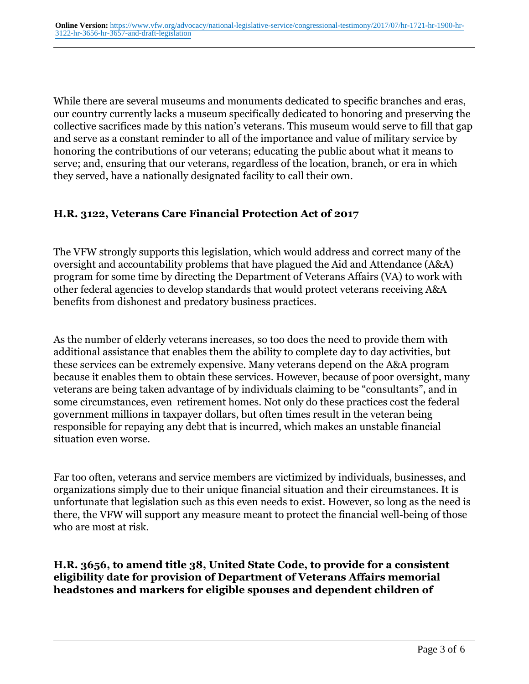While there are several museums and monuments dedicated to specific branches and eras, our country currently lacks a museum specifically dedicated to honoring and preserving the collective sacrifices made by this nation's veterans. This museum would serve to fill that gap and serve as a constant reminder to all of the importance and value of military service by honoring the contributions of our veterans; educating the public about what it means to serve; and, ensuring that our veterans, regardless of the location, branch, or era in which they served, have a nationally designated facility to call their own.

## **H.R. 3122, Veterans Care Financial Protection Act of 2017**

The VFW strongly supports this legislation, which would address and correct many of the oversight and accountability problems that have plagued the Aid and Attendance (A&A) program for some time by directing the Department of Veterans Affairs (VA) to work with other federal agencies to develop standards that would protect veterans receiving A&A benefits from dishonest and predatory business practices.

As the number of elderly veterans increases, so too does the need to provide them with additional assistance that enables them the ability to complete day to day activities, but these services can be extremely expensive. Many veterans depend on the A&A program because it enables them to obtain these services. However, because of poor oversight, many veterans are being taken advantage of by individuals claiming to be "consultants", and in some circumstances, even retirement homes. Not only do these practices cost the federal government millions in taxpayer dollars, but often times result in the veteran being responsible for repaying any debt that is incurred, which makes an unstable financial situation even worse.

Far too often, veterans and service members are victimized by individuals, businesses, and organizations simply due to their unique financial situation and their circumstances. It is unfortunate that legislation such as this even needs to exist. However, so long as the need is there, the VFW will support any measure meant to protect the financial well-being of those who are most at risk.

**H.R. 3656, to amend title 38, United State Code, to provide for a consistent eligibility date for provision of Department of Veterans Affairs memorial headstones and markers for eligible spouses and dependent children of**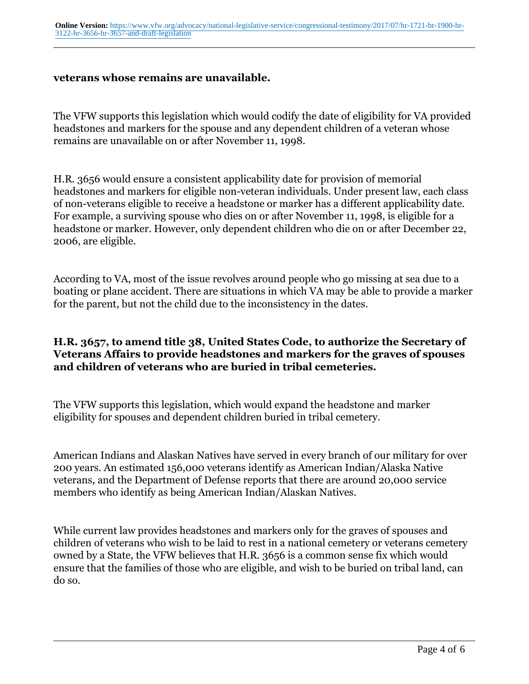#### **veterans whose remains are unavailable.**

The VFW supports this legislation which would codify the date of eligibility for VA provided headstones and markers for the spouse and any dependent children of a veteran whose remains are unavailable on or after November 11, 1998.

H.R. 3656 would ensure a consistent applicability date for provision of memorial headstones and markers for eligible non-veteran individuals. Under present law, each class of non-veterans eligible to receive a headstone or marker has a different applicability date. For example, a surviving spouse who dies on or after November 11, 1998, is eligible for a headstone or marker. However, only dependent children who die on or after December 22, 2006, are eligible.

According to VA, most of the issue revolves around people who go missing at sea due to a boating or plane accident. There are situations in which VA may be able to provide a marker for the parent, but not the child due to the inconsistency in the dates.

#### **H.R. 3657, to amend title 38, United States Code, to authorize the Secretary of Veterans Affairs to provide headstones and markers for the graves of spouses and children of veterans who are buried in tribal cemeteries.**

The VFW supports this legislation, which would expand the headstone and marker eligibility for spouses and dependent children buried in tribal cemetery.

American Indians and Alaskan Natives have served in every branch of our military for over 200 years. An estimated 156,000 veterans identify as American Indian/Alaska Native veterans, and the Department of Defense reports that there are around 20,000 service members who identify as being American Indian/Alaskan Natives.

While current law provides headstones and markers only for the graves of spouses and children of veterans who wish to be laid to rest in a national cemetery or veterans cemetery owned by a State, the VFW believes that H.R. 3656 is a common sense fix which would ensure that the families of those who are eligible, and wish to be buried on tribal land, can do so.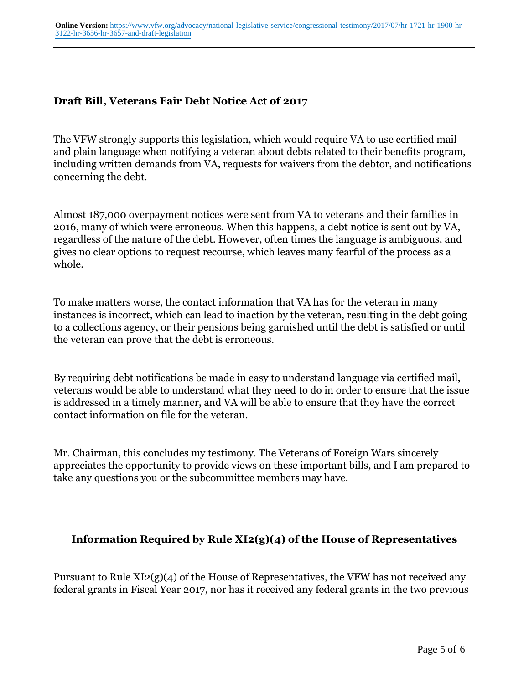#### **Draft Bill, Veterans Fair Debt Notice Act of 2017**

The VFW strongly supports this legislation, which would require VA to use certified mail and plain language when notifying a veteran about debts related to their benefits program, including written demands from VA, requests for waivers from the debtor, and notifications concerning the debt.

Almost 187,000 overpayment notices were sent from VA to veterans and their families in 2016, many of which were erroneous. When this happens, a debt notice is sent out by VA, regardless of the nature of the debt. However, often times the language is ambiguous, and gives no clear options to request recourse, which leaves many fearful of the process as a whole.

To make matters worse, the contact information that VA has for the veteran in many instances is incorrect, which can lead to inaction by the veteran, resulting in the debt going to a collections agency, or their pensions being garnished until the debt is satisfied or until the veteran can prove that the debt is erroneous.

By requiring debt notifications be made in easy to understand language via certified mail, veterans would be able to understand what they need to do in order to ensure that the issue is addressed in a timely manner, and VA will be able to ensure that they have the correct contact information on file for the veteran.

Mr. Chairman, this concludes my testimony. The Veterans of Foreign Wars sincerely appreciates the opportunity to provide views on these important bills, and I am prepared to take any questions you or the subcommittee members may have.

## **Information Required by Rule XI2(g)(4) of the House of Representatives**

Pursuant to Rule XI2(g)(4) of the House of Representatives, the VFW has not received any federal grants in Fiscal Year 2017, nor has it received any federal grants in the two previous